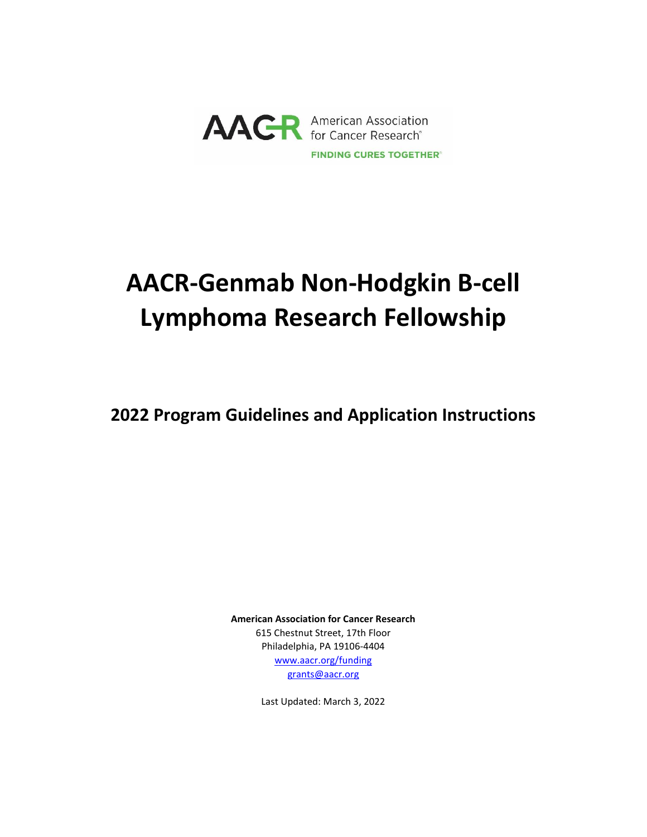

# **AACR-Genmab Non-Hodgkin B-cell Lymphoma Research Fellowship**

**2022 Program Guidelines and Application Instructions**

**American Association for Cancer Research** 615 Chestnut Street, 17th Floor Philadelphia, PA 19106-4404 [www.aacr.org/funding](http://www.aacr.org/funding) [grants@aacr.org](mailto:grants@aacr.org)

Last Updated: March 3, 2022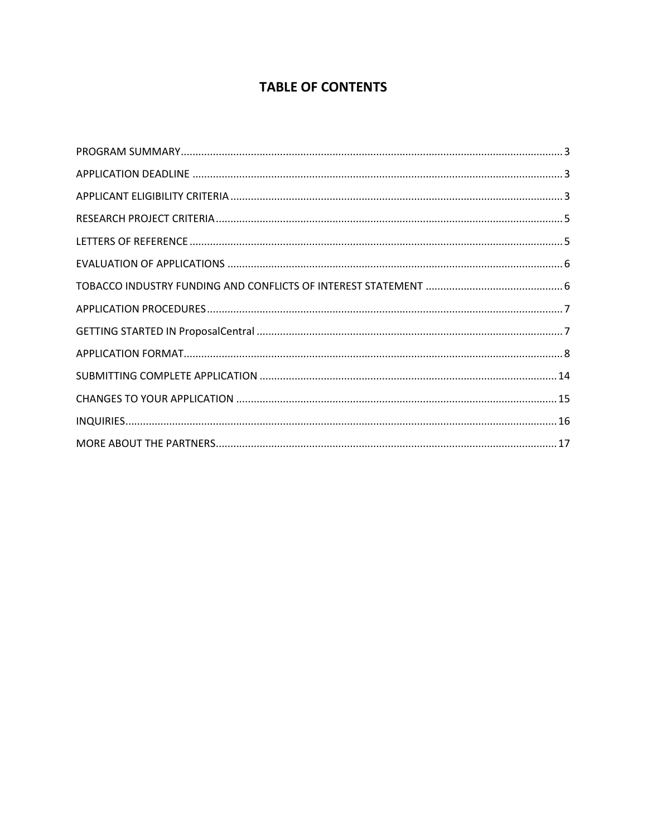# **TABLE OF CONTENTS**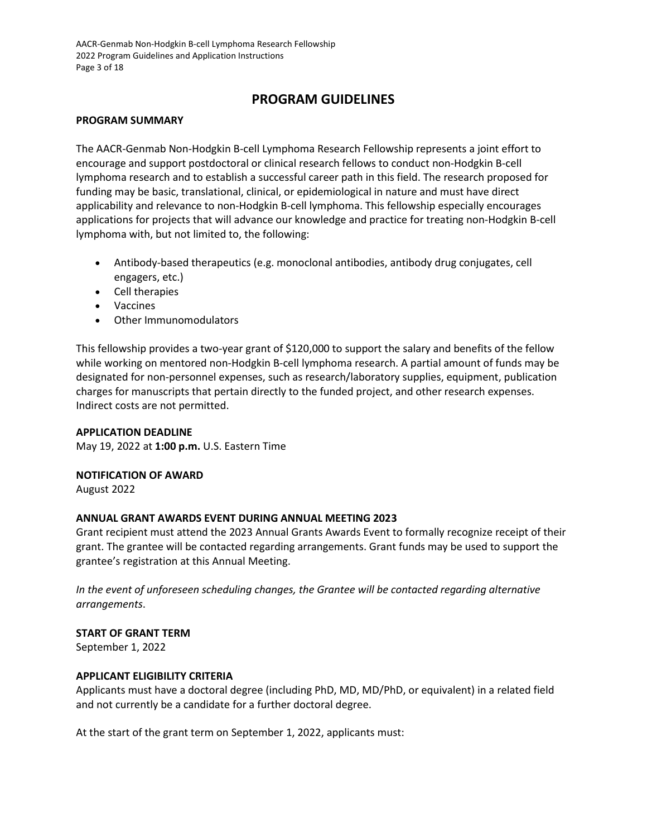AACR-Genmab Non-Hodgkin B-cell Lymphoma Research Fellowship 2022 Program Guidelines and Application Instructions Page 3 of 18

# **PROGRAM GUIDELINES**

#### <span id="page-2-0"></span>**PROGRAM SUMMARY**

The AACR-Genmab Non-Hodgkin B-cell Lymphoma Research Fellowship represents a joint effort to encourage and support postdoctoral or clinical research fellows to conduct non-Hodgkin B-cell lymphoma research and to establish a successful career path in this field. The research proposed for funding may be basic, translational, clinical, or epidemiological in nature and must have direct applicability and relevance to non-Hodgkin B-cell lymphoma. This fellowship especially encourages applications for projects that will advance our knowledge and practice for treating non-Hodgkin B-cell lymphoma with, but not limited to, the following:

- Antibody-based therapeutics (e.g. monoclonal antibodies, antibody drug conjugates, cell engagers, etc.)
- Cell therapies
- Vaccines
- Other Immunomodulators

This fellowship provides a two-year grant of \$120,000 to support the salary and benefits of the fellow while working on mentored non-Hodgkin B-cell lymphoma research. A partial amount of funds may be designated for non-personnel expenses, such as research/laboratory supplies, equipment, publication charges for manuscripts that pertain directly to the funded project, and other research expenses. Indirect costs are not permitted.

# <span id="page-2-1"></span>**APPLICATION DEADLINE**

May 19, 2022 at **1:00 p.m.** U.S. Eastern Time

#### **NOTIFICATION OF AWARD**

August 2022

# **ANNUAL GRANT AWARDS EVENT DURING ANNUAL MEETING 2023**

Grant recipient must attend the 2023 Annual Grants Awards Event to formally recognize receipt of their grant. The grantee will be contacted regarding arrangements. Grant funds may be used to support the grantee's registration at this Annual Meeting.

*In the event of unforeseen scheduling changes, the Grantee will be contacted regarding alternative arrangements*.

# **START OF GRANT TERM**

September 1, 2022

# <span id="page-2-2"></span>**APPLICANT ELIGIBILITY CRITERIA**

Applicants must have a doctoral degree (including PhD, MD, MD/PhD, or equivalent) in a related field and not currently be a candidate for a further doctoral degree.

At the start of the grant term on September 1, 2022, applicants must: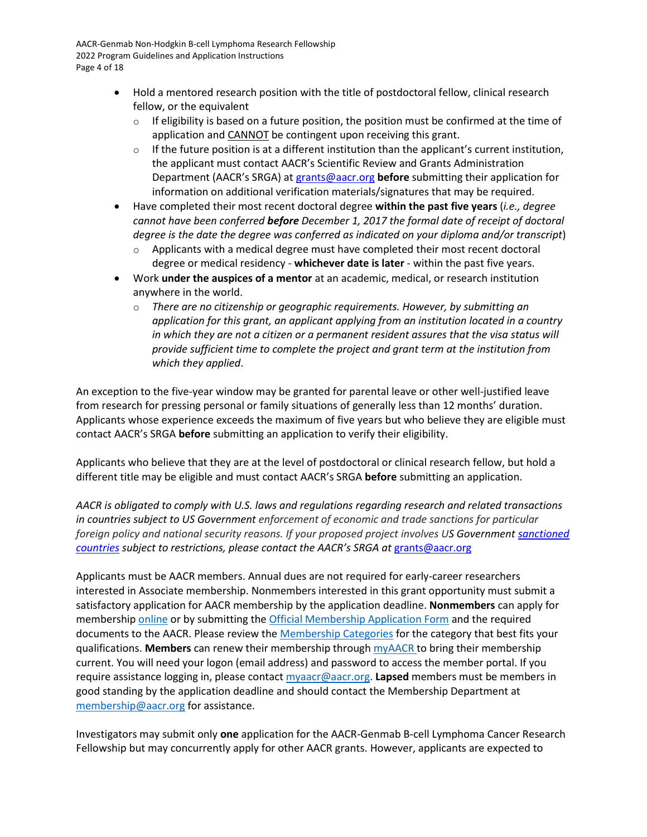AACR-Genmab Non-Hodgkin B-cell Lymphoma Research Fellowship 2022 Program Guidelines and Application Instructions Page 4 of 18

- Hold a mentored research position with the title of postdoctoral fellow, clinical research fellow, or the equivalent
	- $\circ$  If eligibility is based on a future position, the position must be confirmed at the time of application and CANNOT be contingent upon receiving this grant.
	- $\circ$  If the future position is at a different institution than the applicant's current institution, the applicant must contact AACR's Scientific Review and Grants Administration Department (AACR's SRGA) at [grants@aacr.org](mailto:grants@aacr.org) **before** submitting their application for information on additional verification materials/signatures that may be required.
- Have completed their most recent doctoral degree **within the past five years** (*i.e., degree cannot have been conferred before December 1, 2017 the formal date of receipt of doctoral degree is the date the degree was conferred as indicated on your diploma and/or transcript*)
	- $\circ$  Applicants with a medical degree must have completed their most recent doctoral degree or medical residency - **whichever date is later** - within the past five years.
- Work **under the auspices of a mentor** at an academic, medical, or research institution anywhere in the world.
	- o *There are no citizenship or geographic requirements. However, by submitting an application for this grant, an applicant applying from an institution located in a country in which they are not a citizen or a permanent resident assures that the visa status will provide sufficient time to complete the project and grant term at the institution from which they applied*.

An exception to the five-year window may be granted for parental leave or other well-justified leave from research for pressing personal or family situations of generally less than 12 months' duration. Applicants whose experience exceeds the maximum of five years but who believe they are eligible must contact AACR's SRGA **before** submitting an application to verify their eligibility.

Applicants who believe that they are at the level of postdoctoral or clinical research fellow, but hold a different title may be eligible and must contact AACR's SRGA **before** submitting an application.

*AACR is obligated to comply with U.S. laws and regulations regarding research and related transactions in countries subject to US Government enforcement of economic and trade sanctions for particular foreign policy and national security reasons. If your proposed project involves US Government [sanctioned](https://www.treasury.gov/resource-center/sanctions/Programs/Pages/Programs.aspx)  [countries](https://www.treasury.gov/resource-center/sanctions/Programs/Pages/Programs.aspx) subject to restrictions, please contact the AACR's SRGA at* [grants@aacr.org](mailto:grants@aacr.org)

Applicants must be AACR members. Annual dues are not required for early-career researchers interested in Associate membership. Nonmembers interested in this grant opportunity must submit a satisfactory application for AACR membership by the application deadline. **Nonmembers** can apply for membership [online](https://myaacr.aacr.org/) or by submitting th[e Official Membership Application Form](https://www.aacr.org/wp-content/uploads/2020/04/20_MemApp.pdf) and the required documents to the AACR. Please review the [Membership Categories](https://www.aacr.org/professionals/membership/become-a-member/membership-categories/) for the category that best fits your qualifications. **Members** can renew their membership throug[h myAACR t](https://myaacr.aacr.org/)o bring their membership current. You will need your logon (email address) and password to access the member portal. If you require assistance logging in, please contac[t myaacr@aacr.org.](mailto:myaacr@aacr.org) **Lapsed** members must be members in good standing by the application deadline and should contact the Membership Department at [membership@aacr.org](mailto:membership@aacr.org) for assistance.

Investigators may submit only **one** application for the AACR-Genmab B-cell Lymphoma Cancer Research Fellowship but may concurrently apply for other AACR grants. However, applicants are expected to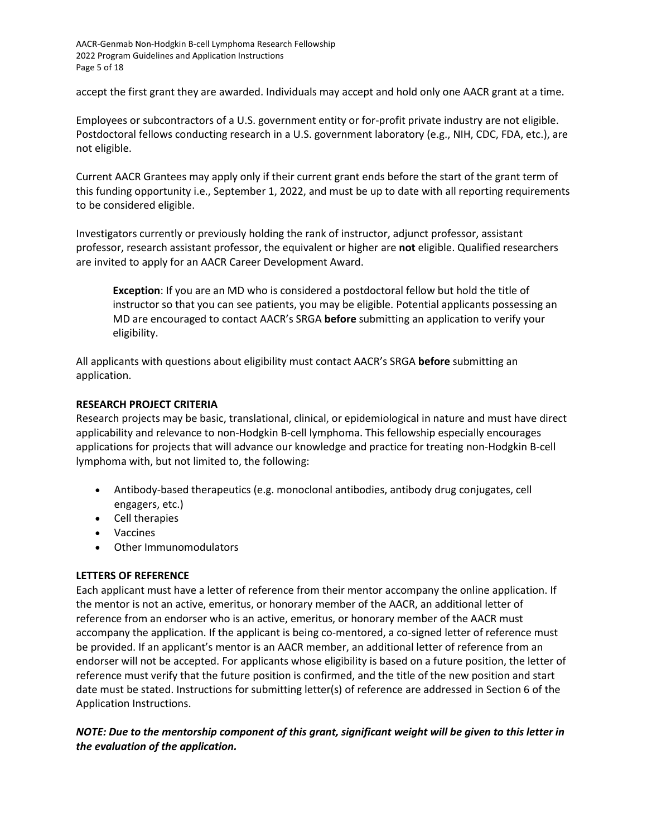accept the first grant they are awarded. Individuals may accept and hold only one AACR grant at a time.

Employees or subcontractors of a U.S. government entity or for-profit private industry are not eligible. Postdoctoral fellows conducting research in a U.S. government laboratory (e.g., NIH, CDC, FDA, etc.), are not eligible.

Current AACR Grantees may apply only if their current grant ends before the start of the grant term of this funding opportunity i.e., September 1, 2022, and must be up to date with all reporting requirements to be considered eligible.

Investigators currently or previously holding the rank of instructor, adjunct professor, assistant professor, research assistant professor, the equivalent or higher are **not** eligible. Qualified researchers are invited to apply for an AACR Career Development Award.

**Exception**: If you are an MD who is considered a postdoctoral fellow but hold the title of instructor so that you can see patients, you may be eligible. Potential applicants possessing an MD are encouraged to contact AACR's SRGA **before** submitting an application to verify your eligibility.

All applicants with questions about eligibility must contact AACR's SRGA **before** submitting an application.

#### <span id="page-4-0"></span>**RESEARCH PROJECT CRITERIA**

Research projects may be basic, translational, clinical, or epidemiological in nature and must have direct applicability and relevance to non-Hodgkin B-cell lymphoma. This fellowship especially encourages applications for projects that will advance our knowledge and practice for treating non-Hodgkin B-cell lymphoma with, but not limited to, the following:

- Antibody-based therapeutics (e.g. monoclonal antibodies, antibody drug conjugates, cell engagers, etc.)
- Cell therapies
- Vaccines
- Other Immunomodulators

# <span id="page-4-1"></span>**LETTERS OF REFERENCE**

Each applicant must have a letter of reference from their mentor accompany the online application. If the mentor is not an active, emeritus, or honorary member of the AACR, an additional letter of reference from an endorser who is an active, emeritus, or honorary member of the AACR must accompany the application. If the applicant is being co-mentored, a co-signed letter of reference must be provided. If an applicant's mentor is an AACR member, an additional letter of reference from an endorser will not be accepted. For applicants whose eligibility is based on a future position, the letter of reference must verify that the future position is confirmed, and the title of the new position and start date must be stated. Instructions for submitting letter(s) of reference are addressed in Section 6 of the Application Instructions.

# *NOTE: Due to the mentorship component of this grant, significant weight will be given to this letter in the evaluation of the application.*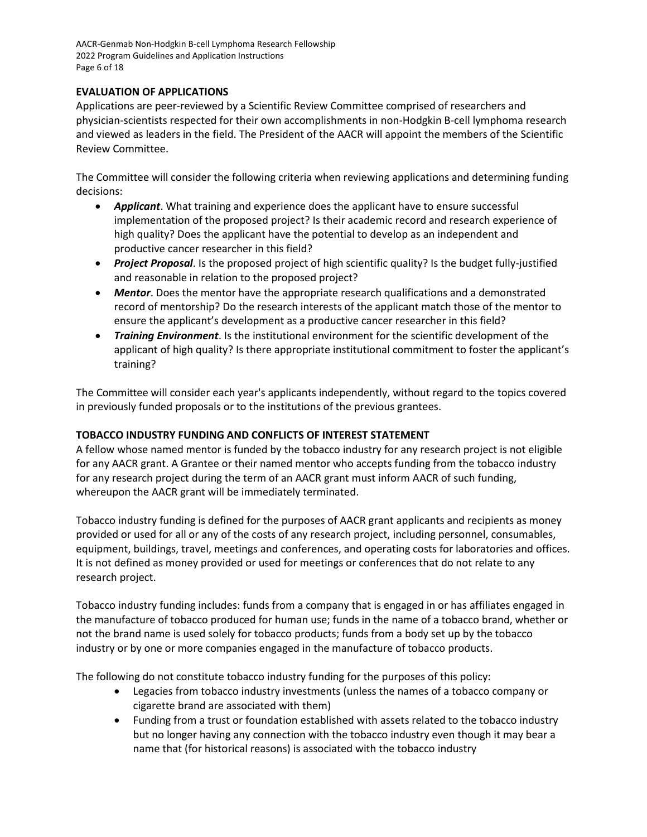AACR-Genmab Non-Hodgkin B-cell Lymphoma Research Fellowship 2022 Program Guidelines and Application Instructions Page 6 of 18

# <span id="page-5-0"></span>**EVALUATION OF APPLICATIONS**

Applications are peer-reviewed by a Scientific Review Committee comprised of researchers and physician-scientists respected for their own accomplishments in non-Hodgkin B-cell lymphoma research and viewed as leaders in the field. The President of the AACR will appoint the members of the Scientific Review Committee.

The Committee will consider the following criteria when reviewing applications and determining funding decisions:

- *Applicant*. What training and experience does the applicant have to ensure successful implementation of the proposed project? Is their academic record and research experience of high quality? Does the applicant have the potential to develop as an independent and productive cancer researcher in this field?
- *Project Proposal*. Is the proposed project of high scientific quality? Is the budget fully-justified and reasonable in relation to the proposed project?
- *Mentor*. Does the mentor have the appropriate research qualifications and a demonstrated record of mentorship? Do the research interests of the applicant match those of the mentor to ensure the applicant's development as a productive cancer researcher in this field?
- *Training Environment*. Is the institutional environment for the scientific development of the applicant of high quality? Is there appropriate institutional commitment to foster the applicant's training?

The Committee will consider each year's applicants independently, without regard to the topics covered in previously funded proposals or to the institutions of the previous grantees.

# <span id="page-5-1"></span>**TOBACCO INDUSTRY FUNDING AND CONFLICTS OF INTEREST STATEMENT**

A fellow whose named mentor is funded by the tobacco industry for any research project is not eligible for any AACR grant. A Grantee or their named mentor who accepts funding from the tobacco industry for any research project during the term of an AACR grant must inform AACR of such funding, whereupon the AACR grant will be immediately terminated.

Tobacco industry funding is defined for the purposes of AACR grant applicants and recipients as money provided or used for all or any of the costs of any research project, including personnel, consumables, equipment, buildings, travel, meetings and conferences, and operating costs for laboratories and offices. It is not defined as money provided or used for meetings or conferences that do not relate to any research project.

Tobacco industry funding includes: funds from a company that is engaged in or has affiliates engaged in the manufacture of tobacco produced for human use; funds in the name of a tobacco brand, whether or not the brand name is used solely for tobacco products; funds from a body set up by the tobacco industry or by one or more companies engaged in the manufacture of tobacco products.

The following do not constitute tobacco industry funding for the purposes of this policy:

- Legacies from tobacco industry investments (unless the names of a tobacco company or cigarette brand are associated with them)
- Funding from a trust or foundation established with assets related to the tobacco industry but no longer having any connection with the tobacco industry even though it may bear a name that (for historical reasons) is associated with the tobacco industry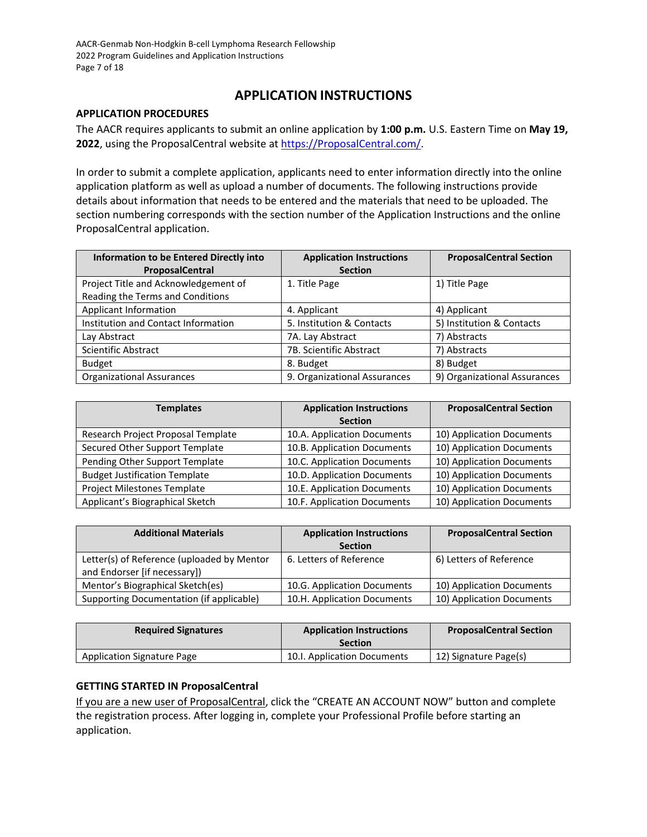# **APPLICATION INSTRUCTIONS**

#### <span id="page-6-0"></span>**APPLICATION PROCEDURES**

The AACR requires applicants to submit an online application by **1:00 p.m.** U.S. Eastern Time on **May 19,**  2022, using the ProposalCentral website at [https://ProposalCentral.com/.](https://proposalcentral.com/)

In order to submit a complete application, applicants need to enter information directly into the online application platform as well as upload a number of documents. The following instructions provide details about information that needs to be entered and the materials that need to be uploaded. The section numbering corresponds with the section number of the Application Instructions and the online ProposalCentral application.

| <b>Information to be Entered Directly into</b> | <b>Application Instructions</b> | <b>ProposalCentral Section</b> |
|------------------------------------------------|---------------------------------|--------------------------------|
| ProposalCentral                                | <b>Section</b>                  |                                |
| Project Title and Acknowledgement of           | 1. Title Page                   | 1) Title Page                  |
| Reading the Terms and Conditions               |                                 |                                |
| Applicant Information                          | 4. Applicant                    | 4) Applicant                   |
| Institution and Contact Information            | 5. Institution & Contacts       | 5) Institution & Contacts      |
| Lay Abstract                                   | 7A. Lay Abstract                | 7) Abstracts                   |
| <b>Scientific Abstract</b>                     | 7B. Scientific Abstract         | 7) Abstracts                   |
| <b>Budget</b>                                  | 8. Budget                       | 8) Budget                      |
| <b>Organizational Assurances</b>               | 9. Organizational Assurances    | 9) Organizational Assurances   |

| <b>Templates</b>                     | <b>Application Instructions</b><br><b>Section</b> | <b>ProposalCentral Section</b> |
|--------------------------------------|---------------------------------------------------|--------------------------------|
| Research Project Proposal Template   | 10.A. Application Documents                       | 10) Application Documents      |
| Secured Other Support Template       | 10.B. Application Documents                       | 10) Application Documents      |
| Pending Other Support Template       | 10.C. Application Documents                       | 10) Application Documents      |
| <b>Budget Justification Template</b> | 10.D. Application Documents                       | 10) Application Documents      |
| Project Milestones Template          | 10.E. Application Documents                       | 10) Application Documents      |
| Applicant's Biographical Sketch      | 10.F. Application Documents                       | 10) Application Documents      |

| <b>Additional Materials</b>                                                | <b>Application Instructions</b><br><b>Section</b> | <b>ProposalCentral Section</b> |
|----------------------------------------------------------------------------|---------------------------------------------------|--------------------------------|
| Letter(s) of Reference (uploaded by Mentor<br>and Endorser [if necessary]) | 6. Letters of Reference                           | 6) Letters of Reference        |
| Mentor's Biographical Sketch(es)                                           | 10.G. Application Documents                       | 10) Application Documents      |
| Supporting Documentation (if applicable)                                   | 10.H. Application Documents                       | 10) Application Documents      |

| <b>Required Signatures</b> | <b>Application Instructions</b><br><b>Section</b> | <b>ProposalCentral Section</b> |
|----------------------------|---------------------------------------------------|--------------------------------|
| Application Signature Page | 10.I. Application Documents                       | 12) Signature Page(s)          |

# <span id="page-6-1"></span>**GETTING STARTED IN ProposalCentral**

If you are a new user of ProposalCentral, click the "CREATE AN ACCOUNT NOW" button and complete the registration process. After logging in, complete your Professional Profile before starting an application.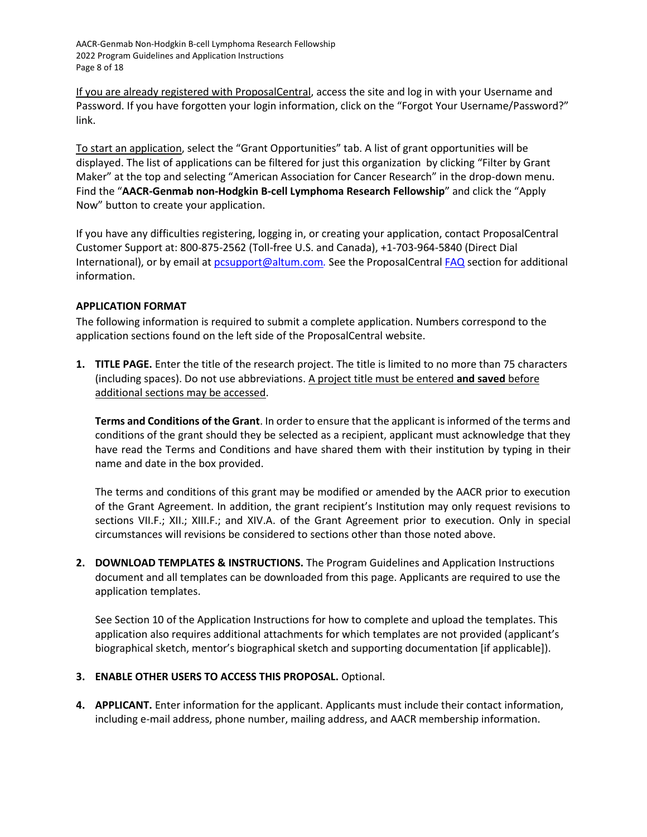AACR-Genmab Non-Hodgkin B-cell Lymphoma Research Fellowship 2022 Program Guidelines and Application Instructions Page 8 of 18

If you are already registered with ProposalCentral, access the site and log in with your Username and Password. If you have forgotten your login information, click on the "Forgot Your Username/Password?" link.

To start an application, select the "Grant Opportunities" tab. A list of grant opportunities will be displayed. The list of applications can be filtered for just this organization by clicking "Filter by Grant Maker" at the top and selecting "American Association for Cancer Research" in the drop-down menu. Find the "**AACR-Genmab non-Hodgkin B-cell Lymphoma Research Fellowship**" and click the "Apply Now" button to create your application.

If you have any difficulties registering, logging in, or creating your application, contact ProposalCentral Customer Support at: 800-875-2562 (Toll-free U.S. and Canada), +1-703-964-5840 (Direct Dial International), or by email a[t pcsupport@altum.com](mailto:pcsupport@altum.com)*.* See the ProposalCentral [FAQ](https://proposalcentral.altum.com/FAQ/FrequentlyAskedQuestions.asp) section for additional information.

# <span id="page-7-0"></span>**APPLICATION FORMAT**

The following information is required to submit a complete application. Numbers correspond to the application sections found on the left side of the ProposalCentral website.

**1. TITLE PAGE.** Enter the title of the research project. The title is limited to no more than 75 characters (including spaces). Do not use abbreviations. A project title must be entered **and saved** before additional sections may be accessed.

**Terms and Conditions of the Grant**. In order to ensure that the applicant is informed of the terms and conditions of the grant should they be selected as a recipient, applicant must acknowledge that they have read the Terms and Conditions and have shared them with their institution by typing in their name and date in the box provided.

The terms and conditions of this grant may be modified or amended by the AACR prior to execution of the Grant Agreement. In addition, the grant recipient's Institution may only request revisions to sections VII.F.; XII.; XIII.F.; and XIV.A. of the Grant Agreement prior to execution. Only in special circumstances will revisions be considered to sections other than those noted above.

**2. DOWNLOAD TEMPLATES & INSTRUCTIONS.** The Program Guidelines and Application Instructions document and all templates can be downloaded from this page. Applicants are required to use the application templates.

See Section 10 of the Application Instructions for how to complete and upload the templates. This application also requires additional attachments for which templates are not provided (applicant's biographical sketch, mentor's biographical sketch and supporting documentation [if applicable]).

# **3. ENABLE OTHER USERS TO ACCESS THIS PROPOSAL.** Optional.

**4. APPLICANT.** Enter information for the applicant. Applicants must include their contact information, including e-mail address, phone number, mailing address, and AACR membership information.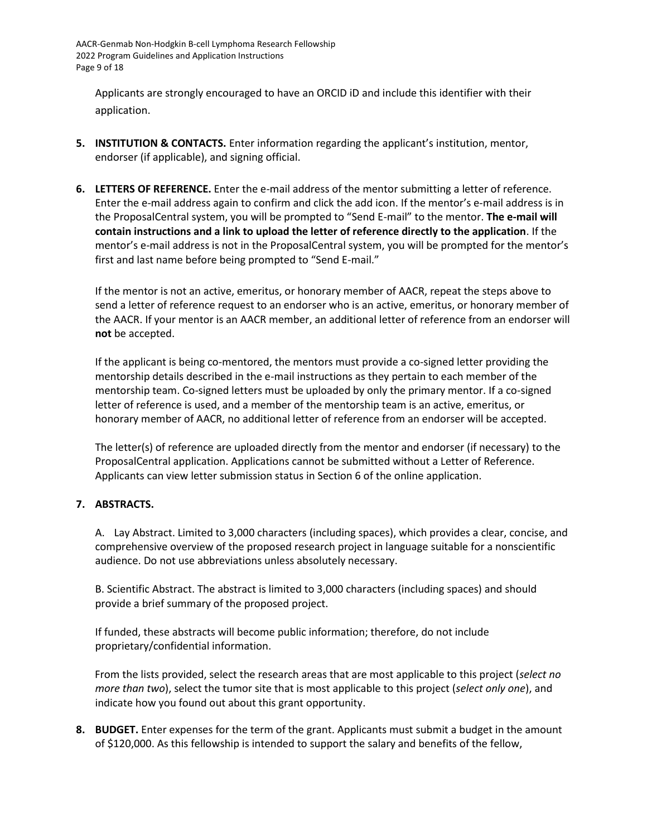AACR-Genmab Non-Hodgkin B-cell Lymphoma Research Fellowship 2022 Program Guidelines and Application Instructions Page 9 of 18

Applicants are strongly encouraged to have an ORCID iD and include this identifier with their application.

- **5. INSTITUTION & CONTACTS.** Enter information regarding the applicant's institution, mentor, endorser (if applicable), and signing official.
- **6. LETTERS OF REFERENCE.** Enter the e-mail address of the mentor submitting a letter of reference. Enter the e-mail address again to confirm and click the add icon. If the mentor's e-mail address is in the ProposalCentral system, you will be prompted to "Send E-mail" to the mentor. **The e-mail will contain instructions and a link to upload the letter of reference directly to the application**. If the mentor's e-mail address is not in the ProposalCentral system, you will be prompted for the mentor's first and last name before being prompted to "Send E-mail."

If the mentor is not an active, emeritus, or honorary member of AACR, repeat the steps above to send a letter of reference request to an endorser who is an active, emeritus, or honorary member of the AACR. If your mentor is an AACR member, an additional letter of reference from an endorser will **not** be accepted.

If the applicant is being co-mentored, the mentors must provide a co-signed letter providing the mentorship details described in the e-mail instructions as they pertain to each member of the mentorship team. Co-signed letters must be uploaded by only the primary mentor. If a co-signed letter of reference is used, and a member of the mentorship team is an active, emeritus, or honorary member of AACR, no additional letter of reference from an endorser will be accepted.

The letter(s) of reference are uploaded directly from the mentor and endorser (if necessary) to the ProposalCentral application. Applications cannot be submitted without a Letter of Reference. Applicants can view letter submission status in Section 6 of the online application.

# **7. ABSTRACTS.**

A. Lay Abstract. Limited to 3,000 characters (including spaces), which provides a clear, concise, and comprehensive overview of the proposed research project in language suitable for a nonscientific audience. Do not use abbreviations unless absolutely necessary.

B. Scientific Abstract. The abstract is limited to 3,000 characters (including spaces) and should provide a brief summary of the proposed project.

If funded, these abstracts will become public information; therefore, do not include proprietary/confidential information.

From the lists provided, select the research areas that are most applicable to this project (*select no more than two*), select the tumor site that is most applicable to this project (*select only one*), and indicate how you found out about this grant opportunity.

**8. BUDGET.** Enter expenses for the term of the grant. Applicants must submit a budget in the amount of \$120,000. As this fellowship is intended to support the salary and benefits of the fellow,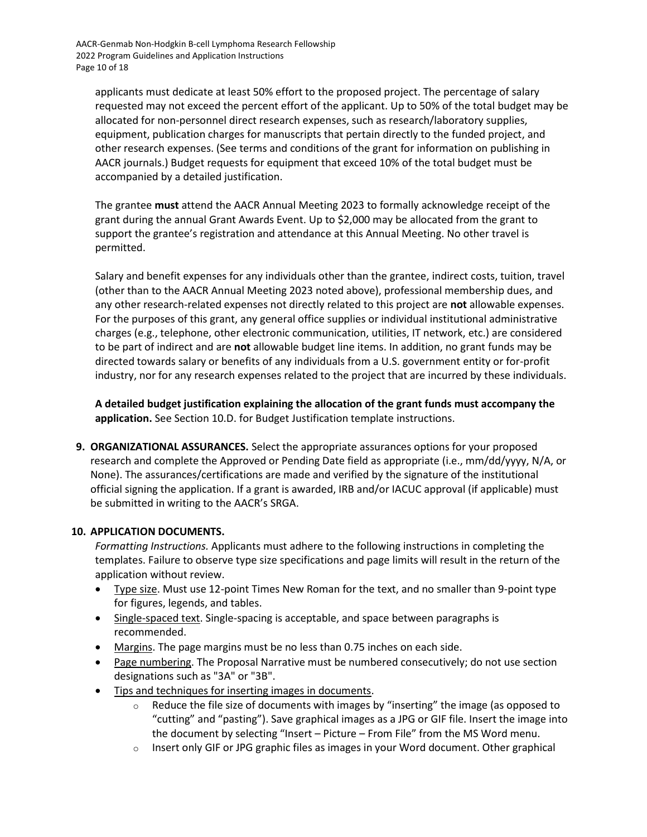applicants must dedicate at least 50% effort to the proposed project. The percentage of salary requested may not exceed the percent effort of the applicant. Up to 50% of the total budget may be allocated for non-personnel direct research expenses, such as research/laboratory supplies, equipment, publication charges for manuscripts that pertain directly to the funded project, and other research expenses. (See terms and conditions of the grant for information on publishing in AACR journals.) Budget requests for equipment that exceed 10% of the total budget must be accompanied by a detailed justification.

The grantee **must** attend the AACR Annual Meeting 2023 to formally acknowledge receipt of the grant during the annual Grant Awards Event. Up to \$2,000 may be allocated from the grant to support the grantee's registration and attendance at this Annual Meeting. No other travel is permitted.

Salary and benefit expenses for any individuals other than the grantee, indirect costs, tuition, travel (other than to the AACR Annual Meeting 2023 noted above), professional membership dues, and any other research-related expenses not directly related to this project are **not** allowable expenses. For the purposes of this grant, any general office supplies or individual institutional administrative charges (e.g., telephone, other electronic communication, utilities, IT network, etc.) are considered to be part of indirect and are **not** allowable budget line items. In addition, no grant funds may be directed towards salary or benefits of any individuals from a U.S. government entity or for-profit industry, nor for any research expenses related to the project that are incurred by these individuals.

**A detailed budget justification explaining the allocation of the grant funds must accompany the application.** See Section 10.D. for Budget Justification template instructions.

**9. ORGANIZATIONAL ASSURANCES.** Select the appropriate assurances options for your proposed research and complete the Approved or Pending Date field as appropriate (i.e., mm/dd/yyyy, N/A, or None). The assurances/certifications are made and verified by the signature of the institutional official signing the application. If a grant is awarded, IRB and/or IACUC approval (if applicable) must be submitted in writing to the AACR's SRGA.

# **10. APPLICATION DOCUMENTS.**

*Formatting Instructions.* Applicants must adhere to the following instructions in completing the templates. Failure to observe type size specifications and page limits will result in the return of the application without review.

- Type size. Must use 12-point Times New Roman for the text, and no smaller than 9-point type for figures, legends, and tables.
- Single-spaced text. Single-spacing is acceptable, and space between paragraphs is recommended.
- Margins. The page margins must be no less than 0.75 inches on each side.
- Page numbering. The Proposal Narrative must be numbered consecutively; do not use section designations such as "3A" or "3B".
- Tips and techniques for inserting images in documents.
	- $\circ$  Reduce the file size of documents with images by "inserting" the image (as opposed to "cutting" and "pasting"). Save graphical images as a JPG or GIF file. Insert the image into the document by selecting "Insert – Picture – From File" from the MS Word menu.
	- $\circ$  Insert only GIF or JPG graphic files as images in your Word document. Other graphical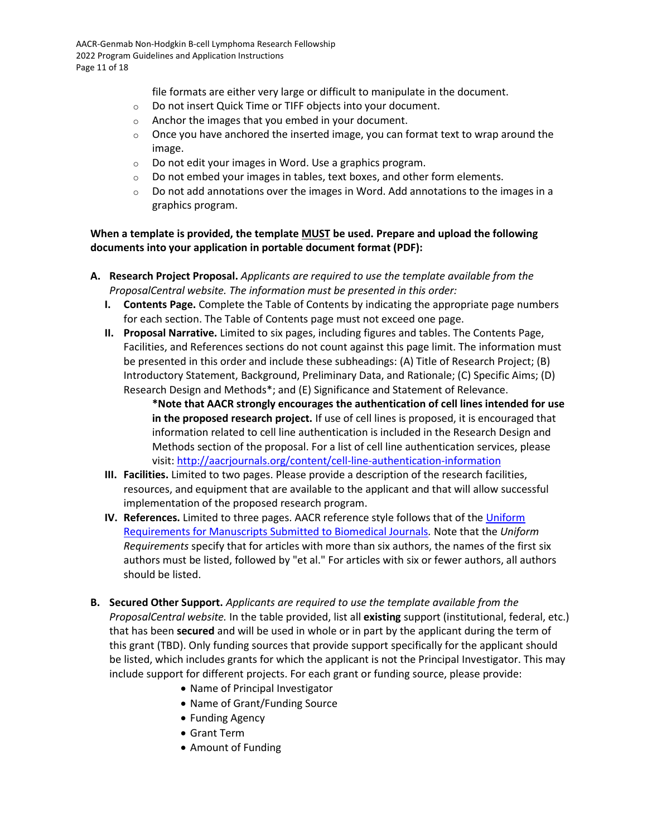file formats are either very large or difficult to manipulate in the document.

- o Do not insert Quick Time or TIFF objects into your document.
- o Anchor the images that you embed in your document.
- $\circ$  Once you have anchored the inserted image, you can format text to wrap around the image.
- o Do not edit your images in Word. Use a graphics program.
- $\circ$  Do not embed your images in tables, text boxes, and other form elements.
- $\circ$  Do not add annotations over the images in Word. Add annotations to the images in a graphics program.

**When a template is provided, the template MUST be used. Prepare and upload the following documents into your application in portable document format (PDF):**

- **A. Research Project Proposal.** *Applicants are required to use the template available from the ProposalCentral website. The information must be presented in this order:*
	- **I. Contents Page.** Complete the Table of Contents by indicating the appropriate page numbers for each section. The Table of Contents page must not exceed one page.
	- **II. Proposal Narrative.** Limited to six pages, including figures and tables. The Contents Page, Facilities, and References sections do not count against this page limit. The information must be presented in this order and include these subheadings: (A) Title of Research Project; (B) Introductory Statement, Background, Preliminary Data, and Rationale; (C) Specific Aims; (D) Research Design and Methods\*; and (E) Significance and Statement of Relevance.

**\*Note that AACR strongly encourages the authentication of cell lines intended for use in the proposed research project.** If use of cell lines is proposed, it is encouraged that information related to cell line authentication is included in the Research Design and Methods section of the proposal. For a list of cell line authentication services, please visit[: http://aacrjournals.org/content/cell-line-authentication-information](http://aacrjournals.org/content/cell-line-authentication-information)

- **III. Facilities.** Limited to two pages. Please provide a description of the research facilities, resources, and equipment that are available to the applicant and that will allow successful implementation of the proposed research program.
- **IV. References.** Limited to three pages. AACR reference style follows that of the [Uniform](http://www.nlm.nih.gov/bsd/uniform_requirements.html)  [Requirements for Manuscripts Submitted to Biomedical Journals](http://www.nlm.nih.gov/bsd/uniform_requirements.html)*.* Note that the *Uniform Requirements* specify that for articles with more than six authors, the names of the first six authors must be listed, followed by "et al." For articles with six or fewer authors, all authors should be listed.
- **B. Secured Other Support.** *Applicants are required to use the template available from the ProposalCentral website.* In the table provided, list all **existing** support (institutional, federal, etc.) that has been **secured** and will be used in whole or in part by the applicant during the term of this grant (TBD). Only funding sources that provide support specifically for the applicant should be listed, which includes grants for which the applicant is not the Principal Investigator. This may include support for different projects. For each grant or funding source, please provide:
	- Name of Principal Investigator
	- Name of Grant/Funding Source
	- Funding Agency
	- Grant Term
	- Amount of Funding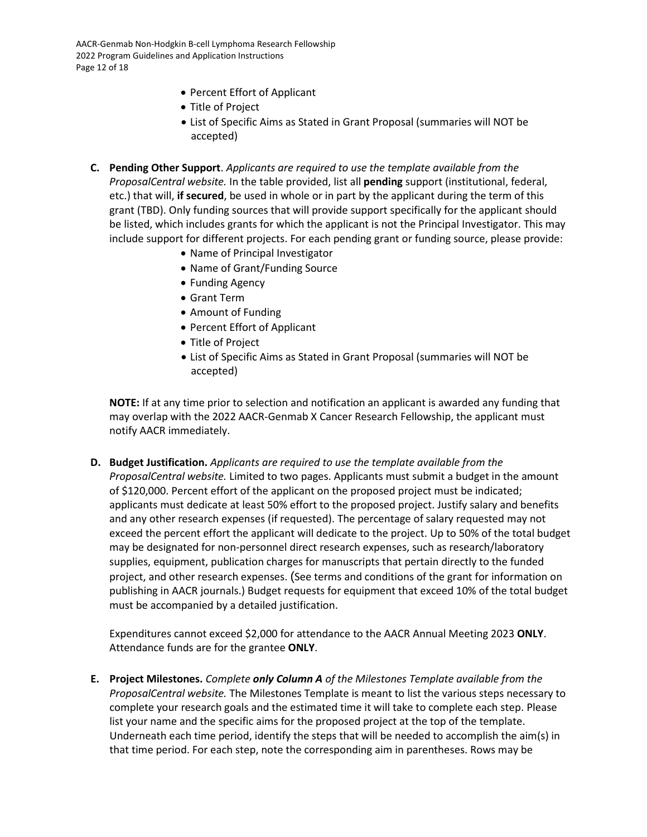- Percent Effort of Applicant
- Title of Project
- List of Specific Aims as Stated in Grant Proposal (summaries will NOT be accepted)
- **C. Pending Other Support**. *Applicants are required to use the template available from the ProposalCentral website.* In the table provided, list all **pending** support (institutional, federal, etc.) that will, **if secured**, be used in whole or in part by the applicant during the term of this grant (TBD). Only funding sources that will provide support specifically for the applicant should be listed, which includes grants for which the applicant is not the Principal Investigator. This may include support for different projects. For each pending grant or funding source, please provide:
	- Name of Principal Investigator
	- Name of Grant/Funding Source
	- Funding Agency
	- Grant Term
	- Amount of Funding
	- Percent Effort of Applicant
	- Title of Project
	- List of Specific Aims as Stated in Grant Proposal (summaries will NOT be accepted)

**NOTE:** If at any time prior to selection and notification an applicant is awarded any funding that may overlap with the 2022 AACR-Genmab X Cancer Research Fellowship, the applicant must notify AACR immediately.

**D. Budget Justification.** *Applicants are required to use the template available from the ProposalCentral website.* Limited to two pages. Applicants must submit a budget in the amount of \$120,000. Percent effort of the applicant on the proposed project must be indicated; applicants must dedicate at least 50% effort to the proposed project. Justify salary and benefits and any other research expenses (if requested). The percentage of salary requested may not exceed the percent effort the applicant will dedicate to the project. Up to 50% of the total budget may be designated for non-personnel direct research expenses, such as research/laboratory supplies, equipment, publication charges for manuscripts that pertain directly to the funded project, and other research expenses. (See terms and conditions of the grant for information on publishing in AACR journals.) Budget requests for equipment that exceed 10% of the total budget must be accompanied by a detailed justification.

Expenditures cannot exceed \$2,000 for attendance to the AACR Annual Meeting 2023 **ONLY**. Attendance funds are for the grantee **ONLY**.

**E. Project Milestones.** *Complete only Column A of the Milestones Template available from the ProposalCentral website.* The Milestones Template is meant to list the various steps necessary to complete your research goals and the estimated time it will take to complete each step. Please list your name and the specific aims for the proposed project at the top of the template. Underneath each time period, identify the steps that will be needed to accomplish the aim(s) in that time period. For each step, note the corresponding aim in parentheses. Rows may be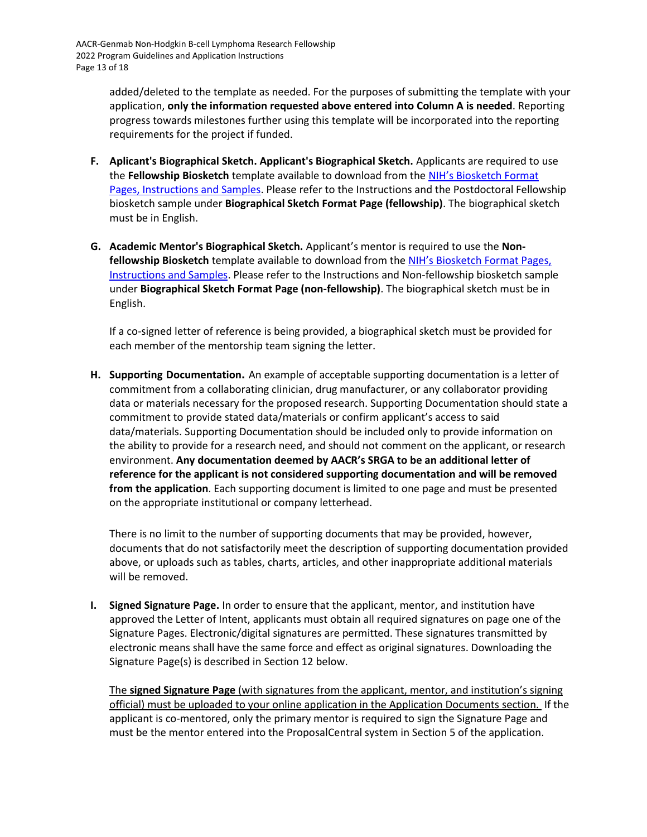added/deleted to the template as needed. For the purposes of submitting the template with your application, **only the information requested above entered into Column A is needed**. Reporting progress towards milestones further using this template will be incorporated into the reporting requirements for the project if funded.

- **F. Aplicant's Biographical Sketch. Applicant's Biographical Sketch.** Applicants are required to use the **Fellowship Biosketch** template available to download from the [NIH's Biosketch Format](https://grants.nih.gov/grants/forms/biosketch.htm)  [Pages, Instructions and Samples.](https://grants.nih.gov/grants/forms/biosketch.htm) Please refer to the Instructions and the Postdoctoral Fellowship biosketch sample under **Biographical Sketch Format Page (fellowship)**. The biographical sketch must be in English.
- **G. Academic Mentor's Biographical Sketch.** Applicant's mentor is required to use the **Nonfellowship Biosketch** template available to download from the [NIH's Biosketch Format Pages,](https://grants.nih.gov/grants/forms/biosketch.htm)  [Instructions and Samples.](https://grants.nih.gov/grants/forms/biosketch.htm) Please refer to the Instructions and Non-fellowship biosketch sample under **Biographical Sketch Format Page (non-fellowship)**. The biographical sketch must be in English.

If a co-signed letter of reference is being provided, a biographical sketch must be provided for each member of the mentorship team signing the letter.

**H. Supporting Documentation.** An example of acceptable supporting documentation is a letter of commitment from a collaborating clinician, drug manufacturer, or any collaborator providing data or materials necessary for the proposed research. Supporting Documentation should state a commitment to provide stated data/materials or confirm applicant's access to said data/materials. Supporting Documentation should be included only to provide information on the ability to provide for a research need, and should not comment on the applicant, or research environment. **Any documentation deemed by AACR's SRGA to be an additional letter of reference for the applicant is not considered supporting documentation and will be removed from the application**. Each supporting document is limited to one page and must be presented on the appropriate institutional or company letterhead.

There is no limit to the number of supporting documents that may be provided, however, documents that do not satisfactorily meet the description of supporting documentation provided above, or uploads such as tables, charts, articles, and other inappropriate additional materials will be removed.

**I. Signed Signature Page.** In order to ensure that the applicant, mentor, and institution have approved the Letter of Intent, applicants must obtain all required signatures on page one of the Signature Pages. Electronic/digital signatures are permitted. These signatures transmitted by electronic means shall have the same force and effect as original signatures. Downloading the Signature Page(s) is described in Section 12 below.

The **signed Signature Page** (with signatures from the applicant, mentor, and institution's signing official) must be uploaded to your online application in the Application Documents section. If the applicant is co-mentored, only the primary mentor is required to sign the Signature Page and must be the mentor entered into the ProposalCentral system in Section 5 of the application.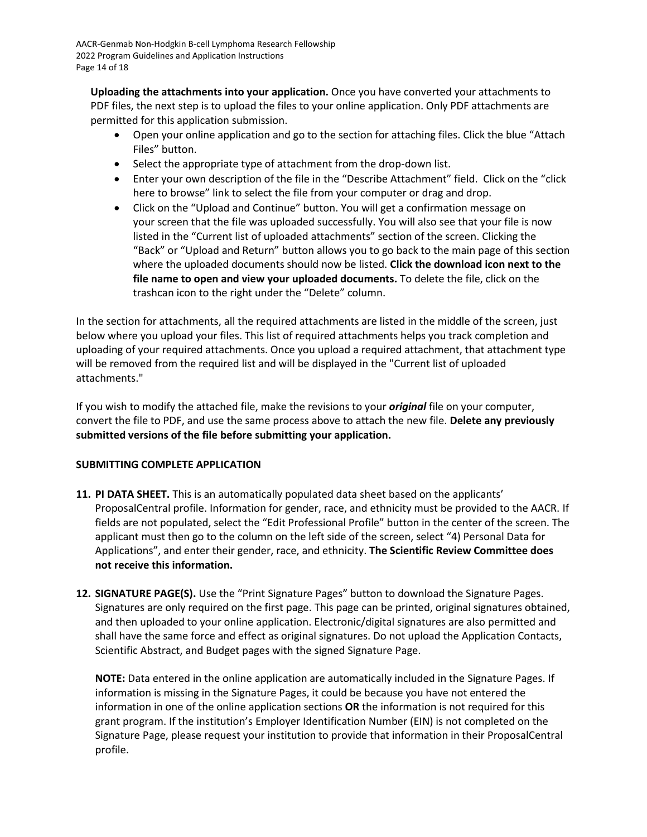**Uploading the attachments into your application.** Once you have converted your attachments to PDF files, the next step is to upload the files to your online application. Only PDF attachments are permitted for this application submission.

- Open your online application and go to the section for attaching files. Click the blue "Attach Files" button.
- Select the appropriate type of attachment from the drop-down list.
- Enter your own description of the file in the "Describe Attachment" field. Click on the "click here to browse" link to select the file from your computer or drag and drop.
- Click on the "Upload and Continue" button. You will get a confirmation message on your screen that the file was uploaded successfully. You will also see that your file is now listed in the "Current list of uploaded attachments" section of the screen. Clicking the "Back" or "Upload and Return" button allows you to go back to the main page of this section where the uploaded documents should now be listed. **Click the download icon next to the file name to open and view your uploaded documents.** To delete the file, click on the trashcan icon to the right under the "Delete" column.

In the section for attachments, all the required attachments are listed in the middle of the screen, just below where you upload your files. This list of required attachments helps you track completion and uploading of your required attachments. Once you upload a required attachment, that attachment type will be removed from the required list and will be displayed in the "Current list of uploaded attachments."

If you wish to modify the attached file, make the revisions to your *original* file on your computer, convert the file to PDF, and use the same process above to attach the new file. **Delete any previously submitted versions of the file before submitting your application.**

# <span id="page-13-0"></span>**SUBMITTING COMPLETE APPLICATION**

- **11. PI DATA SHEET.** This is an automatically populated data sheet based on the applicants' ProposalCentral profile. Information for gender, race, and ethnicity must be provided to the AACR. If fields are not populated, select the "Edit Professional Profile" button in the center of the screen. The applicant must then go to the column on the left side of the screen, select "4) Personal Data for Applications", and enter their gender, race, and ethnicity. **The Scientific Review Committee does not receive this information.**
- **12. SIGNATURE PAGE(S).** Use the "Print Signature Pages" button to download the Signature Pages. Signatures are only required on the first page. This page can be printed, original signatures obtained, and then uploaded to your online application. Electronic/digital signatures are also permitted and shall have the same force and effect as original signatures. Do not upload the Application Contacts, Scientific Abstract, and Budget pages with the signed Signature Page.

**NOTE:** Data entered in the online application are automatically included in the Signature Pages. If information is missing in the Signature Pages, it could be because you have not entered the information in one of the online application sections **OR** the information is not required for this grant program. If the institution's Employer Identification Number (EIN) is not completed on the Signature Page, please request your institution to provide that information in their ProposalCentral profile.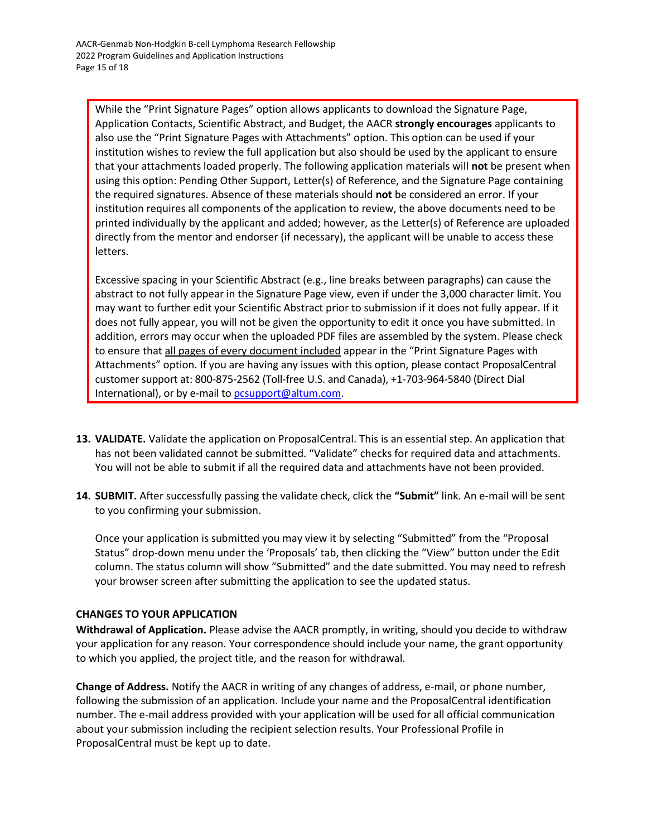While the "Print Signature Pages" option allows applicants to download the Signature Page, Application Contacts, Scientific Abstract, and Budget, the AACR **strongly encourages** applicants to also use the "Print Signature Pages with Attachments" option. This option can be used if your institution wishes to review the full application but also should be used by the applicant to ensure that your attachments loaded properly. The following application materials will **not** be present when using this option: Pending Other Support, Letter(s) of Reference, and the Signature Page containing the required signatures. Absence of these materials should **not** be considered an error. If your institution requires all components of the application to review, the above documents need to be printed individually by the applicant and added; however, as the Letter(s) of Reference are uploaded directly from the mentor and endorser (if necessary), the applicant will be unable to access these letters.

Excessive spacing in your Scientific Abstract (e.g., line breaks between paragraphs) can cause the abstract to not fully appear in the Signature Page view, even if under the 3,000 character limit. You may want to further edit your Scientific Abstract prior to submission if it does not fully appear. If it does not fully appear, you will not be given the opportunity to edit it once you have submitted. In addition, errors may occur when the uploaded PDF files are assembled by the system. Please check to ensure that all pages of every document included appear in the "Print Signature Pages with Attachments" option. If you are having any issues with this option, please contact ProposalCentral customer support at: 800-875-2562 (Toll-free U.S. and Canada), +1-703-964-5840 (Direct Dial International), or by e-mail t[o pcsupport@altum.com.](mailto:pcsupport@altum.com)

- **13. VALIDATE.** Validate the application on ProposalCentral. This is an essential step. An application that has not been validated cannot be submitted. "Validate" checks for required data and attachments. You will not be able to submit if all the required data and attachments have not been provided.
- **14. SUBMIT.** After successfully passing the validate check, click the **"Submit"** link. An e-mail will be sent to you confirming your submission.

Once your application is submitted you may view it by selecting "Submitted" from the "Proposal Status" drop-down menu under the 'Proposals' tab, then clicking the "View" button under the Edit column. The status column will show "Submitted" and the date submitted. You may need to refresh your browser screen after submitting the application to see the updated status.

# <span id="page-14-0"></span>**CHANGES TO YOUR APPLICATION**

**Withdrawal of Application.** Please advise the AACR promptly, in writing, should you decide to withdraw your application for any reason. Your correspondence should include your name, the grant opportunity to which you applied, the project title, and the reason for withdrawal.

**Change of Address.** Notify the AACR in writing of any changes of address, e-mail, or phone number, following the submission of an application. Include your name and the ProposalCentral identification number. The e-mail address provided with your application will be used for all official communication about your submission including the recipient selection results. Your Professional Profile in ProposalCentral must be kept up to date.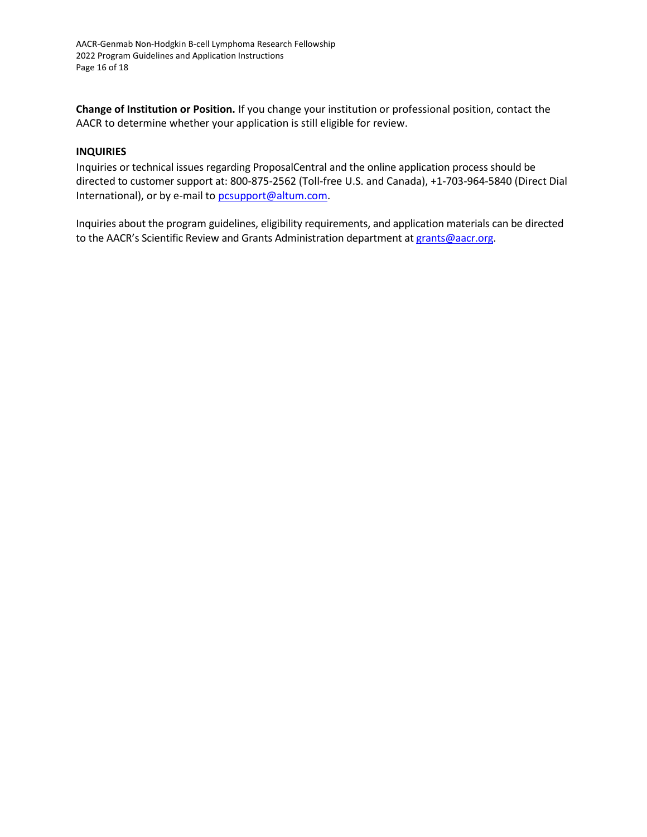**Change of Institution or Position.** If you change your institution or professional position, contact the AACR to determine whether your application is still eligible for review.

### <span id="page-15-0"></span>**INQUIRIES**

Inquiries or technical issues regarding ProposalCentral and the online application process should be directed to customer support at: 800-875-2562 (Toll-free U.S. and Canada), +1-703-964-5840 (Direct Dial International), or by e-mail t[o pcsupport@altum.com.](mailto:pcsupport@altum.com)

Inquiries about the program guidelines, eligibility requirements, and application materials can be directed to the AACR's Scientific Review and Grants Administration department at grants@aacr.org.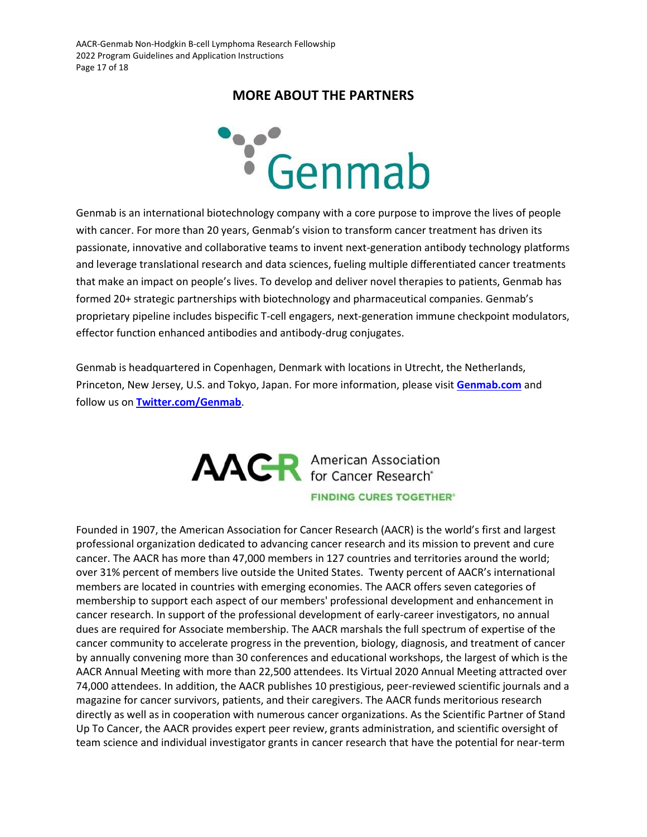# **MORE ABOUT THE PARTNERS**

<span id="page-16-0"></span>

with cancer. For more than 20 years, Genmab's vision to transform cancer treatment has driven its passionate, innovative and collaborative teams to invent next-generation antibody technology platforms and leverage translational research and data sciences, fueling multiple differentiated cancer treatments that make an impact on people's lives. To develop and deliver novel therapies to patients, Genmab has formed 20+ strategic partnerships with biotechnology and pharmaceutical companies. Genmab's proprietary pipeline includes bispecific T-cell engagers, next-generation immune checkpoint modulators, effector function enhanced antibodies and antibody-drug conjugates.

Genmab is headquartered in Copenhagen, Denmark with locations in Utrecht, the Netherlands, Princeton, New Jersey, U.S. and Tokyo, Japan. For more information, please visit **[Genmab.com](https://nam04.safelinks.protection.outlook.com/?url=https%3A%2F%2Fwww.globenewswire.com%2FTracker%3Fdata%3D1lwRMoeDowgkHrRURCLryYsLksJ8GzD56_CN7GdV4GWCanRe2-MYutIbm12hIxOt3gjQRrKLa_Ml2WcLi-7udA%3D%3D&data=04%7C01%7Csasha.dutton%40aacr.org%7C24314279e1c44cc9349708d9fc7b9331%7C246e714fe4c240eba104f70e9c80d6dc%7C1%7C0%7C637818429992254014%7CUnknown%7CTWFpbGZsb3d8eyJWIjoiMC4wLjAwMDAiLCJQIjoiV2luMzIiLCJBTiI6Ik1haWwiLCJXVCI6Mn0%3D%7C3000&sdata=6Xc8GFDqCXSbOJVSVkTqHTUHau5MfslqvRn5uhFXD2c%3D&reserved=0)** and follow us on **[Twitter.com/Genmab](https://nam04.safelinks.protection.outlook.com/?url=https%3A%2F%2Fwww.globenewswire.com%2FTracker%3Fdata%3DSnuHEWKRoh27x2_7PxbnLeq_1fYM4wGZP7gyW2j4VyGH1in2g8kTNC2Y_hdXjxQUX7bO66VT9QWTK8mjpo3Mlt3VJ8vj2Y02hxkOAG0n3o8%3D&data=04%7C01%7Csasha.dutton%40aacr.org%7C24314279e1c44cc9349708d9fc7b9331%7C246e714fe4c240eba104f70e9c80d6dc%7C1%7C0%7C637818429992254014%7CUnknown%7CTWFpbGZsb3d8eyJWIjoiMC4wLjAwMDAiLCJQIjoiV2luMzIiLCJBTiI6Ik1haWwiLCJXVCI6Mn0%3D%7C3000&sdata=qoMK6i5aOJ8uf%2BX002UHu%2FVHWqA2vjo7tRinFwZ6Mjg%3D&reserved=0)**.



Founded in 1907, the American Association for Cancer Research (AACR) is the world's first and largest professional organization dedicated to advancing cancer research and its mission to prevent and cure cancer. The AACR has more than 47,000 members in 127 countries and territories around the world; over 31% percent of members live outside the United States. Twenty percent of AACR's international members are located in countries with emerging economies. The AACR offers seven categories of membership to support each aspect of our members' professional development and enhancement in cancer research. In support of the professional development of early-career investigators, no annual dues are required for Associate membership. The AACR marshals the full spectrum of expertise of the cancer community to accelerate progress in the prevention, biology, diagnosis, and treatment of cancer by annually convening more than 30 conferences and educational workshops, the largest of which is the AACR Annual Meeting with more than 22,500 attendees. Its Virtual 2020 Annual Meeting attracted over 74,000 attendees. In addition, the AACR publishes 10 prestigious, peer-reviewed scientific journals and a magazine for cancer survivors, patients, and their caregivers. The AACR funds meritorious research directly as well as in cooperation with numerous cancer organizations. As the Scientific Partner of Stand Up To Cancer, the AACR provides expert peer review, grants administration, and scientific oversight of team science and individual investigator grants in cancer research that have the potential for near-term